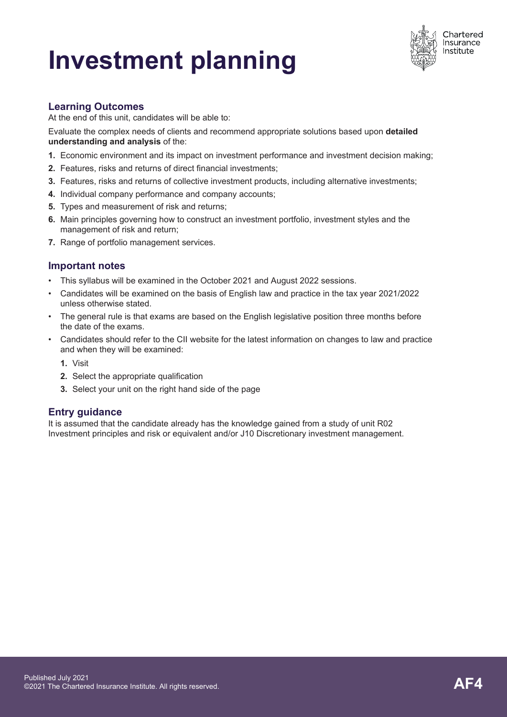# **Investment planning**



## **Learning Outcomes**

At the end of this unit, candidates will be able to:

Evaluate the complex needs of clients and recommend appropriate solutions based upon **detailed understanding and analysis** of the:

- **1.** Economic environment and its impact on investment performance and investment decision making;
- **2.** Features, risks and returns of direct financial investments;
- **3.** Features, risks and returns of collective investment products, including alternative investments;
- **4.** Individual company performance and company accounts;
- **5.** Types and measurement of risk and returns;
- **6.** Main principles governing how to construct an investment portfolio, investment styles and the management of risk and return;
- **7.** Range of portfolio management services.

## **Important notes**

- This syllabus will be examined in the October 2021 and August 2022 sessions.
- Candidates will be examined on the basis of English law and practice in the tax year 2021/2022 unless otherwise stated.
- The general rule is that exams are based on the English legislative position three months before the date of the exams.
- Candidates should refer to the CII website for the latest information on changes to law and practice and when they will be examined:
	- **1.** Visit
	- **2.** Select the appropriate qualification
	- **3.** Select your unit on the right hand side of the page

## **Entry guidance**

It is assumed that the candidate already has the knowledge gained from a study of unit R02 Investment principles and risk or equivalent and/or J10 Discretionary investment management.